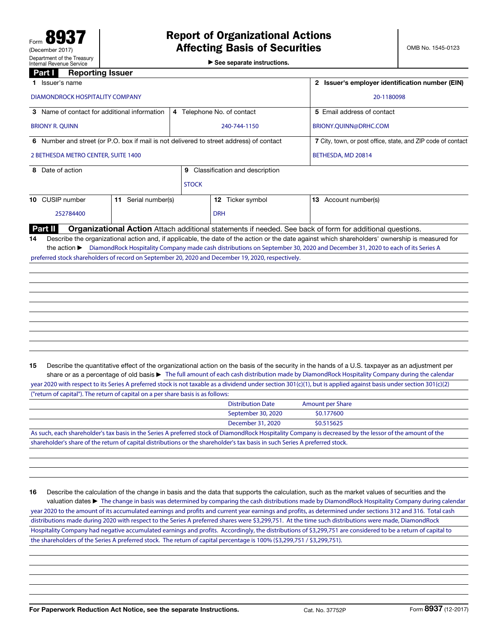|  |  | $\triangleright$ See separate instructions. |
|--|--|---------------------------------------------|
|  |  |                                             |

| $n$ and $n$ and $n$ and $n$ and $n$                                                                                         |                                                              |                                         |                                                                                                                                                                                                                                                                                                                                                                                                                                                                |  |
|-----------------------------------------------------------------------------------------------------------------------------|--------------------------------------------------------------|-----------------------------------------|----------------------------------------------------------------------------------------------------------------------------------------------------------------------------------------------------------------------------------------------------------------------------------------------------------------------------------------------------------------------------------------------------------------------------------------------------------------|--|
| Part I<br><b>Reporting Issuer</b>                                                                                           |                                                              |                                         |                                                                                                                                                                                                                                                                                                                                                                                                                                                                |  |
| 1 Issuer's name                                                                                                             | 2 Issuer's employer identification number (EIN)              |                                         |                                                                                                                                                                                                                                                                                                                                                                                                                                                                |  |
| DIAMONDROCK HOSPITALITY COMPANY                                                                                             | 20-1180098                                                   |                                         |                                                                                                                                                                                                                                                                                                                                                                                                                                                                |  |
| 3 Name of contact for additional information                                                                                | 5 Email address of contact                                   |                                         |                                                                                                                                                                                                                                                                                                                                                                                                                                                                |  |
| <b>BRIONY R. QUINN</b>                                                                                                      |                                                              | 240-744-1150                            | BRIONY.QUINN@DRHC.COM                                                                                                                                                                                                                                                                                                                                                                                                                                          |  |
| 6 Number and street (or P.O. box if mail is not delivered to street address) of contact                                     | 7 City, town, or post office, state, and ZIP code of contact |                                         |                                                                                                                                                                                                                                                                                                                                                                                                                                                                |  |
| 2 BETHESDA METRO CENTER, SUITE 1400                                                                                         | BETHESDA, MD 20814                                           |                                         |                                                                                                                                                                                                                                                                                                                                                                                                                                                                |  |
| 8 Date of action                                                                                                            |                                                              | <b>9</b> Classification and description |                                                                                                                                                                                                                                                                                                                                                                                                                                                                |  |
|                                                                                                                             | <b>STOCK</b>                                                 |                                         |                                                                                                                                                                                                                                                                                                                                                                                                                                                                |  |
| 10 CUSIP number<br>11 Serial number(s)                                                                                      |                                                              | 12 Ticker symbol                        | 13 Account number(s)                                                                                                                                                                                                                                                                                                                                                                                                                                           |  |
| 252784400                                                                                                                   |                                                              | <b>DRH</b>                              |                                                                                                                                                                                                                                                                                                                                                                                                                                                                |  |
| Part II                                                                                                                     |                                                              |                                         | Organizational Action Attach additional statements if needed. See back of form for additional questions.                                                                                                                                                                                                                                                                                                                                                       |  |
| preferred stock shareholders of record on September 20, 2020 and December 19, 2020, respectively.                           |                                                              |                                         |                                                                                                                                                                                                                                                                                                                                                                                                                                                                |  |
| 15                                                                                                                          |                                                              |                                         | Describe the quantitative effect of the organizational action on the basis of the security in the hands of a U.S. taxpayer as an adjustment per<br>share or as a percentage of old basis > The full amount of each cash distribution made by DiamondRock Hospitality Company during the calendar                                                                                                                                                               |  |
| ("return of capital"). The return of capital on a per share basis is as follows:                                            |                                                              |                                         | year 2020 with respect to its Series A preferred stock is not taxable as a dividend under section 301(c)(1), but is applied against basis under section 301(c)(2)                                                                                                                                                                                                                                                                                              |  |
|                                                                                                                             |                                                              | <b>Distribution Date</b>                | <b>Amount per Share</b>                                                                                                                                                                                                                                                                                                                                                                                                                                        |  |
|                                                                                                                             |                                                              | September 30, 2020                      | \$0.177600                                                                                                                                                                                                                                                                                                                                                                                                                                                     |  |
|                                                                                                                             |                                                              | December 31, 2020                       | \$0.515625                                                                                                                                                                                                                                                                                                                                                                                                                                                     |  |
|                                                                                                                             |                                                              |                                         | As such, each shareholder's tax basis in the Series A preferred stock of DiamondRock Hospitality Company is decreased by the lessor of the amount of the                                                                                                                                                                                                                                                                                                       |  |
| shareholder's share of the return of capital distributions or the shareholder's tax basis in such Series A preferred stock. |                                                              |                                         |                                                                                                                                                                                                                                                                                                                                                                                                                                                                |  |
|                                                                                                                             |                                                              |                                         |                                                                                                                                                                                                                                                                                                                                                                                                                                                                |  |
| 16                                                                                                                          |                                                              |                                         | Describe the calculation of the change in basis and the data that supports the calculation, such as the market values of securities and the<br>valuation dates ► The change in basis was determined by comparing the cash distributions made by DiamondRock Hospitality Company during calendar<br>year 2020 to the amount of its accumulated earnings and profits and current year earnings and profits, as determined under sections 312 and 316. Total cash |  |

Hospitality Company had negative accumulated earnings and profits. Accordingly, the distributions of \$3,299,751 are considered to be a return of capital to the shareholders of the Series A preferred stock. The return of capital percentage is 100% (\$3,299,751 / \$3,299,751).

distributions made during 2020 with respect to the Series A preferred shares were \$3,299,751. At the time such distributions were made, DiamondRock